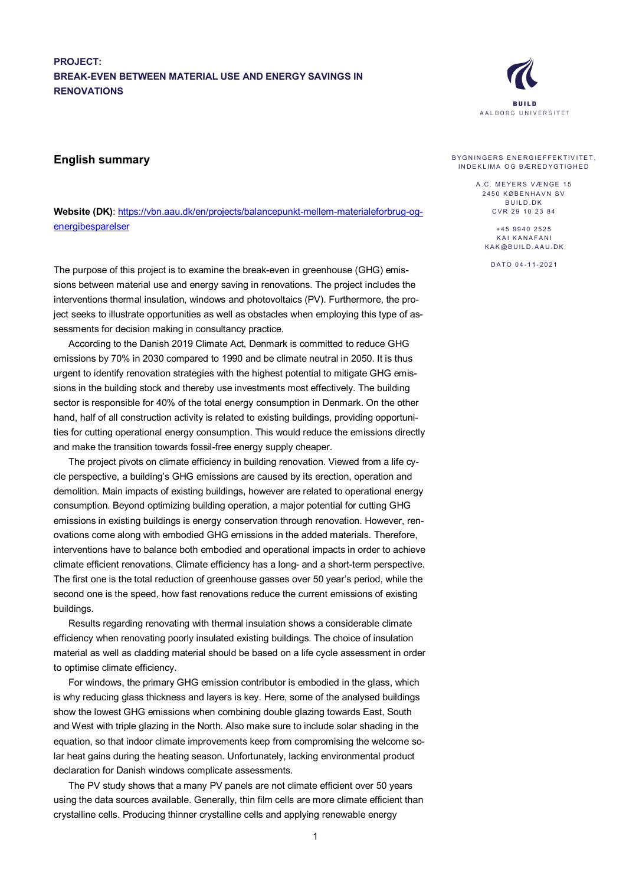## **PROJECT: BREAK-EVEN BETWEEN MATERIAL USE AND ENERGY SAVINGS IN RENOVATIONS**

## **English summary**

**Website (DK)**: [https://vbn.aau.dk/en/projects/balancepunkt-mellem-materialeforbrug-og](https://vbn.aau.dk/en/projects/balancepunkt-mellem-materialeforbrug-og-energibesparelser)[energibesparelser](https://vbn.aau.dk/en/projects/balancepunkt-mellem-materialeforbrug-og-energibesparelser)

The purpose of this project is to examine the break-even in greenhouse (GHG) emissions between material use and energy saving in renovations. The project includes the interventions thermal insulation, windows and photovoltaics (PV). Furthermore, the project seeks to illustrate opportunities as well as obstacles when employing this type of assessments for decision making in consultancy practice.

According to the Danish 2019 Climate Act, Denmark is committed to reduce GHG emissions by 70% in 2030 compared to 1990 and be climate neutral in 2050. It is thus urgent to identify renovation strategies with the highest potential to mitigate GHG emissions in the building stock and thereby use investments most effectively. The building sector is responsible for 40% of the total energy consumption in Denmark. On the other hand, half of all construction activity is related to existing buildings, providing opportunities for cutting operational energy consumption. This would reduce the emissions directly and make the transition towards fossil-free energy supply cheaper.

The project pivots on climate efficiency in building renovation. Viewed from a life cycle perspective, a building's GHG emissions are caused by its erection, operation and demolition. Main impacts of existing buildings, however are related to operational energy consumption. Beyond optimizing building operation, a major potential for cutting GHG emissions in existing buildings is energy conservation through renovation. However, renovations come along with embodied GHG emissions in the added materials. Therefore, interventions have to balance both embodied and operational impacts in order to achieve climate efficient renovations. Climate efficiency has a long- and a short-term perspective. The first one is the total reduction of greenhouse gasses over 50 year's period, while the second one is the speed, how fast renovations reduce the current emissions of existing buildings.

Results regarding renovating with thermal insulation shows a considerable climate efficiency when renovating poorly insulated existing buildings. The choice of insulation material as well as cladding material should be based on a life cycle assessment in order to optimise climate efficiency.

For windows, the primary GHG emission contributor is embodied in the glass, which is why reducing glass thickness and layers is key. Here, some of the analysed buildings show the lowest GHG emissions when combining double glazing towards East, South and West with triple glazing in the North. Also make sure to include solar shading in the equation, so that indoor climate improvements keep from compromising the welcome solar heat gains during the heating season. Unfortunately, lacking environmental product declaration for Danish windows complicate assessments.

The PV study shows that a many PV panels are not climate efficient over 50 years using the data sources available. Generally, thin film cells are more climate efficient than crystalline cells. Producing thinner crystalline cells and applying renewable energy



## BYGNINGERS ENERGIEFFEKTIVITET, INDEKLIMA OG BÆREDYG TIGHED

A.C. MEYERS VÆNGE 15 2450 KØBENHAVN SV **BUILD DK** CVR 29 10 23 84

+45 9940 2525 KAI KANAFANI KAK @BUILD .AAU.DK

DATO 0 4 - 1 1 - 2021